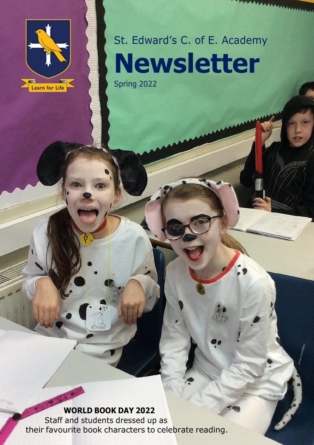

# St. Edward's C. of E. Academy **Newsletter** Spring 2022

 $$ 

 $r$ on $G$ o

Staff and students dressed up as their favourite book characters to celebrate reading.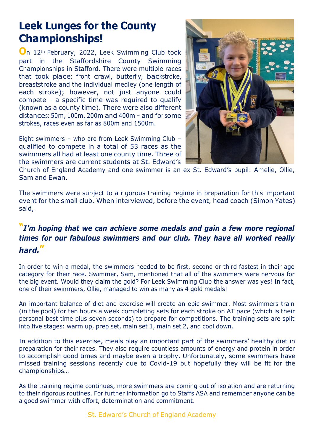### **Leek Lunges for the County Championships!**

**O**n 12th February, 2022, Leek Swimming Club took part in the Staffordshire County Swimming Championships in Stafford. There were multiple races that took place: front crawl, butterfly, backstroke, breaststroke and the individual medley (one length of each stroke); however, not just anyone could compete - a specific time was required to qualify (known as a county time). There were also different distances: 50m, 100m, 200m and 400m – and for some strokes, races even as far as 800m and 1500m.

Eight swimmers – who are from Leek Swimming Club – qualified to compete in a total of 53 races as the swimmers all had at least one county time. Three of the swimmers are current students at St. Edward's



Church of England Academy and one swimmer is an ex St. Edward's pupil: Amelie, Ollie, Sam and Ewan.

The swimmers were subject to a rigorous training regime in preparation for this important event for the small club. When interviewed, before the event, head coach (Simon Yates) said,

### **"***I'm hoping that we can achieve some medals and gain a few more regional times for our fabulous swimmers and our club. They have all worked really hard.***"**

In order to win a medal, the swimmers needed to be first, second or third fastest in their age category for their race. Swimmer, Sam, mentioned that all of the swimmers were nervous for the big event. Would they claim the gold? For Leek Swimming Club the answer was yes! In fact, one of their swimmers, Ollie, managed to win as many as 4 gold medals!

An important balance of diet and exercise will create an epic swimmer. Most swimmers train (in the pool) for ten hours a week completing sets for each stroke on AT pace (which is their personal best time plus seven seconds) to prepare for competitions. The training sets are split into five stages: warm up, prep set, main set 1, main set 2, and cool down.

In addition to this exercise, meals play an important part of the swimmers' healthy diet in preparation for their races. They also require countless amounts of energy and protein in order to accomplish good times and maybe even a trophy. Unfortunately, some swimmers have missed training sessions recently due to Covid-19 but hopefully they will be fit for the championships…

As the training regime continues, more swimmers are coming out of isolation and are returning to their rigorous routines. For further information go to Staffs ASA and remember anyone can be a good swimmer with effort, determination and commitment.

St. Edward's Church of England Academy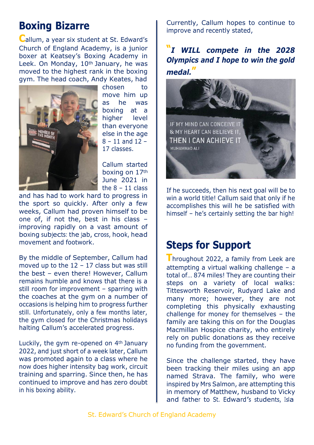# **Boxing Bizarre**

**C**allum, <sup>a</sup> year six student at St. Edward's Church of England Academy, is a junior boxer at Keatsey's Boxing Academy in Leek. On Monday, 10<sup>th</sup> January, he was moved to the highest rank in the boxing gym. The head coach, Andy Keates, had



chosen to move him up as he was boxing at a higher level than everyone else in the age 8 – 11 and 12 – 17 classes.

Callum started boxing on 17th June 2021 in the  $8 - 11$  class

and has had to work hard to progress in the sport so quickly. After only a few weeks, Callum had proven himself to be one of, if not the, best in his class – improving rapidly on a vast amount of boxing subjects: the jab, cross, hook, head movement and footwork.

By the middle of September, Callum had moved up to the  $12 - 17$  class but was still the best – even there! However, Callum remains humble and knows that there is a still room for improvement – sparring with the coaches at the gym on a number of occasions is helping him to progress further still. Unfortunately, only a few months later, the gym closed for the Christmas holidays halting Callum's accelerated progress.

Luckily, the gym re-opened on 4th January 2022, and just short of a week later, Callum was promoted again to a class where he now does higher intensity bag work, circuit training and sparring. Since then, he has continued to improve and has zero doubt in his boxing ability.

Currently, Callum hopes to continue to improve and recently stated,

### **"***I WILL compete in the 2028 Olympics and I hope to win the gold* medal.



If he succeeds, then his next goal will be to win a world title! Callum said that only if he accomplishes this will he be satisfied with himself – he's certainly setting the bar high!

### **Steps for Support**

**T**hroughout 2022, a family from Leek are attempting a virtual walking challenge – a total of… 874 miles! They are counting their steps on a variety of local walks: Tittesworth Reservoir, Rudyard Lake and many more; however, they are not completing this physically exhausting challenge for money for themselves – the family are taking this on for the Douglas Macmillan Hospice charity, who entirely rely on public donations as they receive no funding from the government.

Since the challenge started, they have been tracking their miles using an app named Strava. The family, who were inspired by Mrs Salmon, are attempting this in memory of Matthew, husband to Vicky and father to St. Edward'<sup>s</sup> students, Isla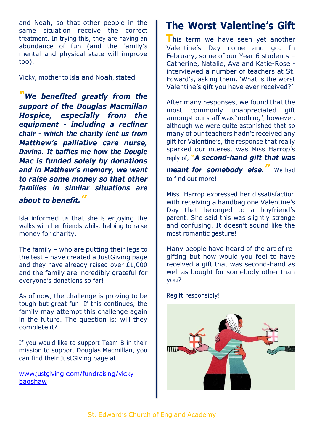and Noah, so that other people in the same situation receive the correct treatment. In trying this, they are having an abundance of fun (and the family's mental and physical state will improve too).

Vicky, mother to Isla and Noah, stated:

*"We benefited greatly from the support of the Douglas Macmillan Hospice, especially from the equipment - including a recliner chair - which the charity lent us from Matthew's palliative care nurse, Davina. It baffles me how the Dougie Mac is funded solely by donations and in Matthew's memory, we want to raise some money so that other families in similar situations are about to benefit."*

Isla informed us that she is enjoying the walks with her friends whilst helping to raise money for charity.

The family – who are putting their legs to the test – have created a JustGiving page and they have already raised over £1,000 and the family are incredibly grateful for everyone's donations so far!

As of now, the challenge is proving to be tough but great fun. If this continues, the family may attempt this challenge again in the future. The question is: will they complete it?

If you would like to support Team B in their mission to support Douglas Macmillan, you can find their JustGiving page at:

[www.justgiving.com/f](http://www.justgiving.com/)undraising/vickybagshaw

# **The Worst Valentine's Gift**

**T**his term we have seen yet another Valentine's Day come and go. In February, some of our Year 6 students – Catherine, Natalie, Ava and Katie-Rose interviewed a number of teachers at St. Edward's, asking them, 'What is the worst Valentine's gift you have ever received?'

After many responses, we found that the most commonly unappreciated gift amongst our staff was 'nothing'; however, although we were quite astonished that so many of our teachers hadn't received any gift for Valentine's, the response that really sparked our interest was Miss Harrop's reply of, *"A second-hand gift that was*

*meant for somebody else."* We had to find out more!

Miss. Harrop expressed her dissatisfaction with receiving a handbag one Valentine's Day that belonged to a boyfriend's parent. She said this was slightly strange and confusing. It doesn't sound like the most romantic gesture!

Many people have heard of the art of regifting but how would you feel to have received a gift that was second-hand as well as bought for somebody other than you?

Regift responsibly!

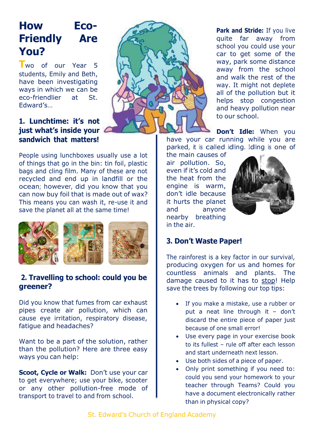# **How Eco-Friendly Are You?**

**T**wo of our Year <sup>5</sup> students, Emily and Beth, have been investigating ways in which we can be eco-friendlier at St. Edward's…



People using lunchboxes usually use a lot of things that go in the bin: tin foil, plastic bags and cling film. Many of these are not recycled and end up in landfill or the ocean; however, did you know that you can now buy foil that is made out of wax? This means you can wash it, re-use it and save the planet all at the same time!



#### **2. Travelling to school: could you be greener?**

Did you know that fumes from car exhaust pipes create air pollution, which can cause eye irritation, respiratory disease, fatigue and headaches?

Want to be a part of the solution, rather than the pollution? Here are three easy ways you can help:

**Scoot, Cycle or Walk:** Don't use your car to get everywhere; use your bike, scooter or any other pollution-free mode of transport to travel to and from school.



**Park and Stride:** If you live quite far away from school you could use your car to get some of the way, park some distance away from the school and walk the rest of the way. It might not deplete all of the pollution but it helps stop congestion and heavy pollution near to our school.

**Don't Idle:** When you have your car running while you are parked, it is called idling. Idling is one of

the main causes of air pollution. So, even if it's cold and the heat from the engine is warm, don't idle because it hurts the planet and anyone nearby breathing in the air.



#### **3. Don't Waste Paper!**

The rainforest is a key factor in our survival, producing oxygen for us and homes for countless animals and plants. The damage caused to it has to stop! Help save the trees by following our top tips:

- If you make a mistake, use a rubber or put a neat line through it – don't discard the entire piece of paper just because of one small error!
- Use every page in your exercise book to its fullest – rule off after each lesson and start underneath next lesson.
- Use both sides of a piece of paper.
- Only print something if you need to: could you send your homework to your teacher through Teams? Could you have a document electronically rather than in physical copy?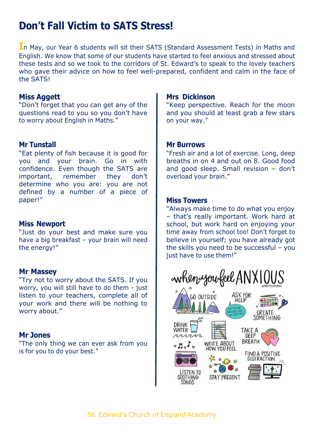# **Don't Fall Victim to SATS Stress!**

**I**n May, our Year 6 students will sit their SATS (Standard Assessment Tests) in Maths and English. We know that some of our students have started to feel anxious and stressed about these tests and so we took to the corridors of St. Edward's to speak to the lovely teachers who gave their advice on how to feel well-prepared, confident and calm in the face of the SATS!

#### **Miss Aggett**

"Don't forget that you can get any of the questions read to you so you don't have to worry about English in Maths."

#### **Mr Tunstall**

"Eat plenty of fish because it is good for you and your brain. Go in with confidence. Even though the SATS are important, remember they don't determine who you are: you are not defined by a number of a piece of paper!"

#### **Miss Newport**

"Just do your best and make sure you have a big breakfast – your brain will need the energy!"

#### **Mr Massey**

"Try not to worry about the SATS. If you worry, you will still have to do them - just listen to your teachers, complete all of your work and there will be nothing to worry about."

#### **Mr Jones**

"The only thing we can ever ask from you is for you to do your best."

#### **Mrs Dickinson**

"Keep perspective. Reach for the moon and you should at least grab a few stars on your way."

#### **Mr Burrows**

"Fresh air and a lot of exercise. Long, deep breaths in on 4 and out on 8. Good food and good sleep. Small revision – don't overload your brain."

#### **Miss Towers**

"Always make time to do what you enjoy – that's really important. Work hard at school, but work hard on enjoying your time away from school too! Don't forget to believe in yourself; you have already got the skills you need to be successful – you just have to use them!"

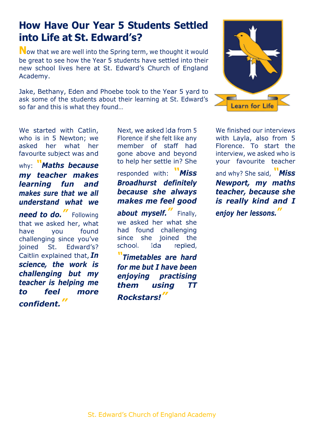### **How Have Our Year 5 Students Settled into Life at St. Edward's?**

**N**ow that we are well into the Spring term, we thought it would be great to see how the Year 5 students have settled into their new school lives here at St. Edward's Church of England Academy.

Jake, Bethany, Eden and Phoebe took to the Year 5 yard to ask some of the students about their learning at St. Edward's so far and this is what they found…



We started with Catlin, who is in 5 Newton; we asked her what her favourite subject was and

why: *"Maths because my teacher makes learning fun and makes sure that we all understand what we*

*need to do."* Following that we asked her, what have you found challenging since you've joined St. Edward's? Caitlin explained that, *In science, the work is challenging but my teacher is helping me to feel more confident."*

Next, we asked Ida from 5 Florence if she felt like any member of staff had gone above and beyond to help her settle in? She

responded with: *"Miss Broadhurst definitely because she always makes me feel good*

*about myself."* Finally, we asked her what she had found challenging since she joined the school. Ida replied,

*"Timetables are hard for me but I have been enjoying practising them using TT Rockstars!"*

We finished our interviews with Layla, also from 5 Florence. To start the interview, we asked who is your favourite teacher

and why? She said, *"Miss Newport, my maths teacher, because she is really kind and I enjoy her lessons."*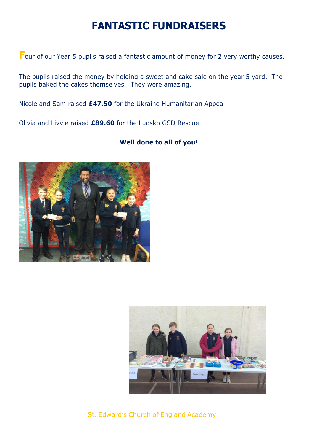# **FANTASTIC FUNDRAISERS**

**F**our of our Year 5 pupils raised a fantastic amount of money for 2 very worthy causes.

The pupils raised the money by holding a sweet and cake sale on the year 5 yard. The pupils baked the cakes themselves. They were amazing.

Nicole and Sam raised **£47.50** for the Ukraine Humanitarian Appeal

Olivia and Livvie raised **£89.60** for the Luosko GSD Rescue



#### **Well done to all of you!**



St. Edward's Church of England Academy